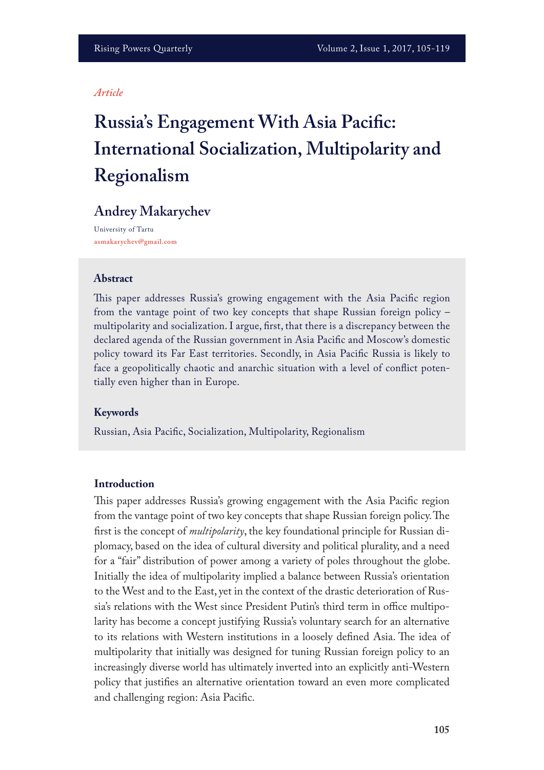#### *Article*

# **Russia's Engagement With Asia Pacifc: International Socialization, Multipolarity and Regionalism**

# **Andrey Makarychev**

University of Tartu **asmakarychev@gmail.com**

#### **Abstract**

This paper addresses Russia's growing engagement with the Asia Pacific region from the vantage point of two key concepts that shape Russian foreign policy – multipolarity and socialization. I argue, frst, that there is a discrepancy between the declared agenda of the Russian government in Asia Pacifc and Moscow's domestic policy toward its Far East territories. Secondly, in Asia Pacifc Russia is likely to face a geopolitically chaotic and anarchic situation with a level of confict potentially even higher than in Europe.

#### **Keywords**

Russian, Asia Pacifc, Socialization, Multipolarity, Regionalism

#### **Introduction**

This paper addresses Russia's growing engagement with the Asia Pacific region from the vantage point of two key concepts that shape Russian foreign policy. The frst is the concept of *multipolarity*, the key foundational principle for Russian diplomacy, based on the idea of cultural diversity and political plurality, and a need for a "fair" distribution of power among a variety of poles throughout the globe. Initially the idea of multipolarity implied a balance between Russia's orientation to the West and to the East, yet in the context of the drastic deterioration of Russia's relations with the West since President Putin's third term in office multipolarity has become a concept justifying Russia's voluntary search for an alternative to its relations with Western institutions in a loosely defined Asia. The idea of multipolarity that initially was designed for tuning Russian foreign policy to an increasingly diverse world has ultimately inverted into an explicitly anti-Western policy that justifes an alternative orientation toward an even more complicated and challenging region: Asia Pacifc.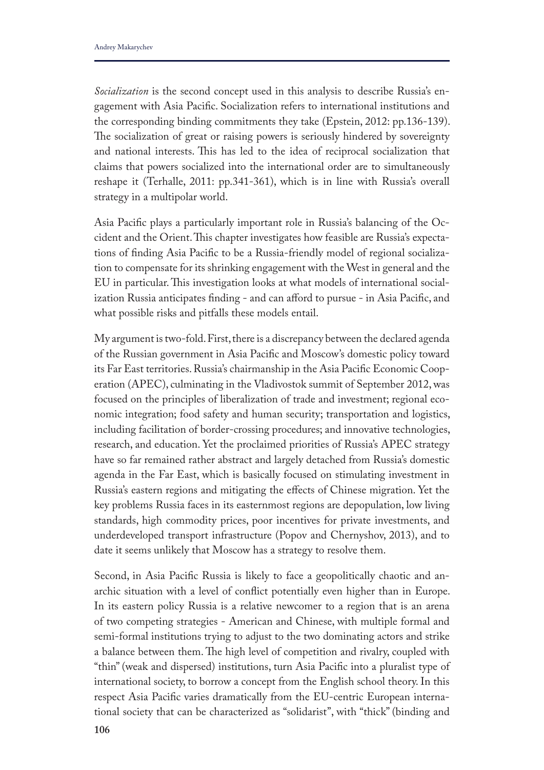*Socialization* is the second concept used in this analysis to describe Russia's engagement with Asia Pacifc. Socialization refers to international institutions and the corresponding binding commitments they take (Epstein, 2012: pp.136-139). The socialization of great or raising powers is seriously hindered by sovereignty and national interests. This has led to the idea of reciprocal socialization that claims that powers socialized into the international order are to simultaneously reshape it (Terhalle, 2011: pp.341-361), which is in line with Russia's overall strategy in a multipolar world.

Asia Pacifc plays a particularly important role in Russia's balancing of the Occident and the Orient. This chapter investigates how feasible are Russia's expectations of fnding Asia Pacifc to be a Russia-friendly model of regional socialization to compensate for its shrinking engagement with the West in general and the EU in particular. This investigation looks at what models of international socialization Russia anticipates fnding - and can aford to pursue - in Asia Pacifc, and what possible risks and pitfalls these models entail.

My argument is two-fold. First, there is a discrepancy between the declared agenda of the Russian government in Asia Pacifc and Moscow's domestic policy toward its Far East territories. Russia's chairmanship in the Asia Pacifc Economic Cooperation (APEC), culminating in the Vladivostok summit of September 2012, was focused on the principles of liberalization of trade and investment; regional economic integration; food safety and human security; transportation and logistics, including facilitation of border-crossing procedures; and innovative technologies, research, and education. Yet the proclaimed priorities of Russia's APEC strategy have so far remained rather abstract and largely detached from Russia's domestic agenda in the Far East, which is basically focused on stimulating investment in Russia's eastern regions and mitigating the efects of Chinese migration. Yet the key problems Russia faces in its easternmost regions are depopulation, low living standards, high commodity prices, poor incentives for private investments, and underdeveloped transport infrastructure (Popov and Chernyshov, 2013), and to date it seems unlikely that Moscow has a strategy to resolve them.

Second, in Asia Pacifc Russia is likely to face a geopolitically chaotic and anarchic situation with a level of confict potentially even higher than in Europe. In its eastern policy Russia is a relative newcomer to a region that is an arena of two competing strategies - American and Chinese, with multiple formal and semi-formal institutions trying to adjust to the two dominating actors and strike a balance between them. The high level of competition and rivalry, coupled with "thin" (weak and dispersed) institutions, turn Asia Pacifc into a pluralist type of international society, to borrow a concept from the English school theory. In this respect Asia Pacifc varies dramatically from the EU-centric European international society that can be characterized as "solidarist", with "thick" (binding and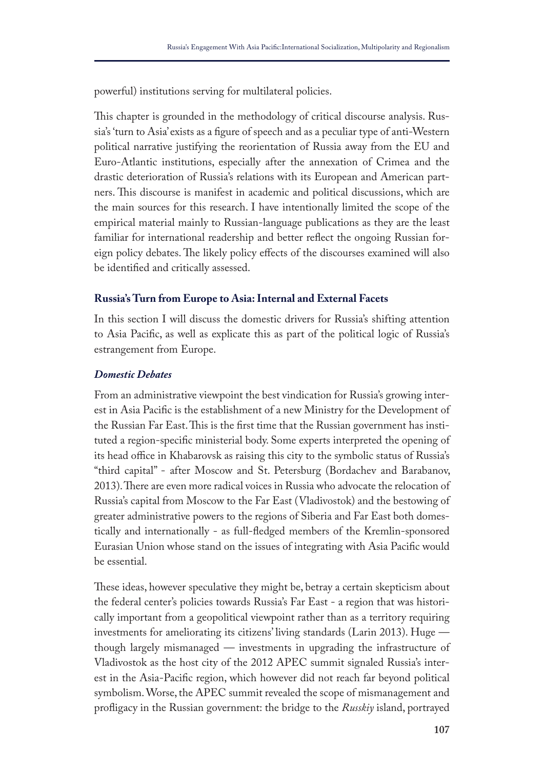powerful) institutions serving for multilateral policies.

This chapter is grounded in the methodology of critical discourse analysis. Russia's 'turn to Asia' exists as a fgure of speech and as a peculiar type of anti-Western political narrative justifying the reorientation of Russia away from the EU and Euro-Atlantic institutions, especially after the annexation of Crimea and the drastic deterioration of Russia's relations with its European and American partners. This discourse is manifest in academic and political discussions, which are the main sources for this research. I have intentionally limited the scope of the empirical material mainly to Russian-language publications as they are the least familiar for international readership and better refect the ongoing Russian foreign policy debates. The likely policy effects of the discourses examined will also be identifed and critically assessed.

# **Russia's Turn from Europe to Asia: Internal and External Facets**

In this section I will discuss the domestic drivers for Russia's shifting attention to Asia Pacifc, as well as explicate this as part of the political logic of Russia's estrangement from Europe.

#### *Domestic Debates*

From an administrative viewpoint the best vindication for Russia's growing interest in Asia Pacifc is the establishment of a new Ministry for the Development of the Russian Far East. This is the first time that the Russian government has instituted a region-specifc ministerial body. Some experts interpreted the opening of its head office in Khabarovsk as raising this city to the symbolic status of Russia's "third capital" - after Moscow and St. Petersburg (Bordachev and Barabanov, 2013). There are even more radical voices in Russia who advocate the relocation of Russia's capital from Moscow to the Far East (Vladivostok) and the bestowing of greater administrative powers to the regions of Siberia and Far East both domestically and internationally - as full-fedged members of the Kremlin-sponsored Eurasian Union whose stand on the issues of integrating with Asia Pacifc would be essential.

These ideas, however speculative they might be, betray a certain skepticism about the federal center's policies towards Russia's Far East - a region that was historically important from a geopolitical viewpoint rather than as a territory requiring investments for ameliorating its citizens' living standards (Larin 2013). Huge though largely mismanaged — investments in upgrading the infrastructure of Vladivostok as the host city of the 2012 APEC summit signaled Russia's interest in the Asia-Pacifc region, which however did not reach far beyond political symbolism. Worse, the APEC summit revealed the scope of mismanagement and profigacy in the Russian government: the bridge to the *Russkiy* island, portrayed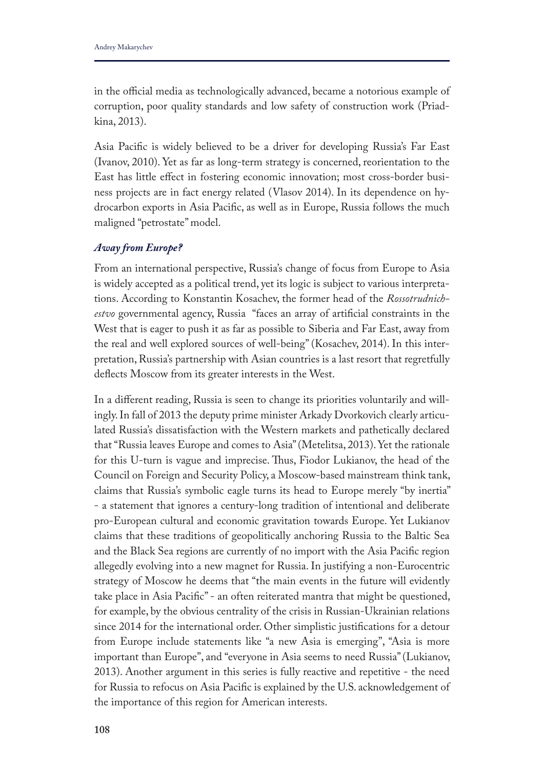in the official media as technologically advanced, became a notorious example of corruption, poor quality standards and low safety of construction work (Priadkina, 2013).

Asia Pacifc is widely believed to be a driver for developing Russia's Far East (Ivanov, 2010). Yet as far as long-term strategy is concerned, reorientation to the East has little efect in fostering economic innovation; most cross-border business projects are in fact energy related (Vlasov 2014). In its dependence on hydrocarbon exports in Asia Pacifc, as well as in Europe, Russia follows the much maligned "petrostate" model.

#### *Away from Europe?*

From an international perspective, Russia's change of focus from Europe to Asia is widely accepted as a political trend, yet its logic is subject to various interpretations. According to Konstantin Kosachev, the former head of the *Rossotrudnichestvo* governmental agency, Russia "faces an array of artifcial constraints in the West that is eager to push it as far as possible to Siberia and Far East, away from the real and well explored sources of well-being" (Kosachev, 2014). In this interpretation, Russia's partnership with Asian countries is a last resort that regretfully defects Moscow from its greater interests in the West.

In a diferent reading, Russia is seen to change its priorities voluntarily and willingly. In fall of 2013 the deputy prime minister Arkady Dvorkovich clearly articulated Russia's dissatisfaction with the Western markets and pathetically declared that "Russia leaves Europe and comes to Asia" (Metelitsa, 2013). Yet the rationale for this U-turn is vague and imprecise. Thus, Fiodor Lukianov, the head of the Council on Foreign and Security Policy, a Moscow-based mainstream think tank, claims that Russia's symbolic eagle turns its head to Europe merely "by inertia" - a statement that ignores a century-long tradition of intentional and deliberate pro-European cultural and economic gravitation towards Europe. Yet Lukianov claims that these traditions of geopolitically anchoring Russia to the Baltic Sea and the Black Sea regions are currently of no import with the Asia Pacifc region allegedly evolving into a new magnet for Russia. In justifying a non-Eurocentric strategy of Moscow he deems that "the main events in the future will evidently take place in Asia Pacifc" - an often reiterated mantra that might be questioned, for example, by the obvious centrality of the crisis in Russian-Ukrainian relations since 2014 for the international order. Other simplistic justifcations for a detour from Europe include statements like "a new Asia is emerging", "Asia is more important than Europe", and "everyone in Asia seems to need Russia" (Lukianov, 2013). Another argument in this series is fully reactive and repetitive - the need for Russia to refocus on Asia Pacifc is explained by the U.S. acknowledgement of the importance of this region for American interests.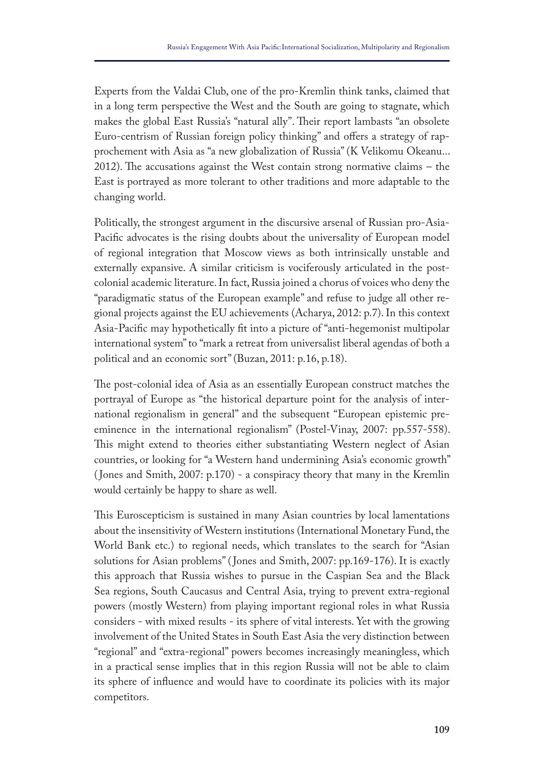Experts from the Valdai Club, one of the pro-Kremlin think tanks, claimed that in a long term perspective the West and the South are going to stagnate, which makes the global East Russia's "natural ally". Their report lambasts "an obsolete Euro-centrism of Russian foreign policy thinking" and ofers a strategy of rapprochement with Asia as "a new globalization of Russia" (K Velikomu Okeanu...  $2012$ ). The accusations against the West contain strong normative claims – the East is portrayed as more tolerant to other traditions and more adaptable to the changing world.

Politically, the strongest argument in the discursive arsenal of Russian pro-Asia-Pacifc advocates is the rising doubts about the universality of European model of regional integration that Moscow views as both intrinsically unstable and externally expansive. A similar criticism is vociferously articulated in the postcolonial academic literature. In fact, Russia joined a chorus of voices who deny the "paradigmatic status of the European example" and refuse to judge all other regional projects against the EU achievements (Acharya, 2012: p.7). In this context Asia-Pacifc may hypothetically ft into a picture of "anti-hegemonist multipolar international system" to "mark a retreat from universalist liberal agendas of both a political and an economic sort" (Buzan, 2011: p.16, p.18).

The post-colonial idea of Asia as an essentially European construct matches the portrayal of Europe as "the historical departure point for the analysis of international regionalism in general" and the subsequent "European epistemic preeminence in the international regionalism" (Postel-Vinay, 2007: pp.557-558). This might extend to theories either substantiating Western neglect of Asian countries, or looking for "a Western hand undermining Asia's economic growth" ( Jones and Smith, 2007: p.170) - a conspiracy theory that many in the Kremlin would certainly be happy to share as well.

This Euroscepticism is sustained in many Asian countries by local lamentations about the insensitivity of Western institutions (International Monetary Fund, the World Bank etc.) to regional needs, which translates to the search for "Asian solutions for Asian problems" ( Jones and Smith, 2007: pp.169-176). It is exactly this approach that Russia wishes to pursue in the Caspian Sea and the Black Sea regions, South Caucasus and Central Asia, trying to prevent extra-regional powers (mostly Western) from playing important regional roles in what Russia considers - with mixed results - its sphere of vital interests. Yet with the growing involvement of the United States in South East Asia the very distinction between "regional" and "extra-regional" powers becomes increasingly meaningless, which in a practical sense implies that in this region Russia will not be able to claim its sphere of infuence and would have to coordinate its policies with its major competitors.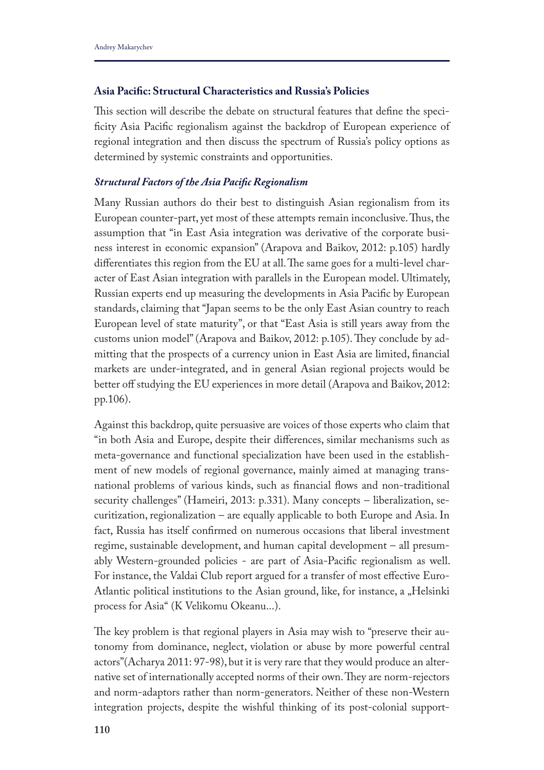# **Asia Pacifc: Structural Characteristics and Russia's Policies**

Tis section will describe the debate on structural features that defne the specificity Asia Pacific regionalism against the backdrop of European experience of regional integration and then discuss the spectrum of Russia's policy options as determined by systemic constraints and opportunities.

#### *Structural Factors of the Asia Pacifc Regionalism*

Many Russian authors do their best to distinguish Asian regionalism from its European counter-part, yet most of these attempts remain inconclusive. Tus, the assumption that "in East Asia integration was derivative of the corporate business interest in economic expansion" (Arapova and Baikov, 2012: p.105) hardly differentiates this region from the EU at all. The same goes for a multi-level character of East Asian integration with parallels in the European model. Ultimately, Russian experts end up measuring the developments in Asia Pacifc by European standards, claiming that "Japan seems to be the only East Asian country to reach European level of state maturity", or that "East Asia is still years away from the customs union model" (Arapova and Baikov, 2012: p.105). They conclude by admitting that the prospects of a currency union in East Asia are limited, fnancial markets are under-integrated, and in general Asian regional projects would be better off studying the EU experiences in more detail (Arapova and Baikov, 2012: pp.106).

Against this backdrop, quite persuasive are voices of those experts who claim that "in both Asia and Europe, despite their diferences, similar mechanisms such as meta-governance and functional specialization have been used in the establishment of new models of regional governance, mainly aimed at managing transnational problems of various kinds, such as fnancial fows and non-traditional security challenges" (Hameiri, 2013: p.331). Many concepts – liberalization, securitization, regionalization – are equally applicable to both Europe and Asia. In fact, Russia has itself confrmed on numerous occasions that liberal investment regime, sustainable development, and human capital development – all presumably Western-grounded policies - are part of Asia-Pacifc regionalism as well. For instance, the Valdai Club report argued for a transfer of most efective Euro-Atlantic political institutions to the Asian ground, like, for instance, a "Helsinki process for Asia" (K Velikomu Okeanu...).

The key problem is that regional players in Asia may wish to "preserve their autonomy from dominance, neglect, violation or abuse by more powerful central actors"(Acharya 2011: 97-98), but it is very rare that they would produce an alternative set of internationally accepted norms of their own. They are norm-rejectors and norm-adaptors rather than norm-generators. Neither of these non-Western integration projects, despite the wishful thinking of its post-colonial support-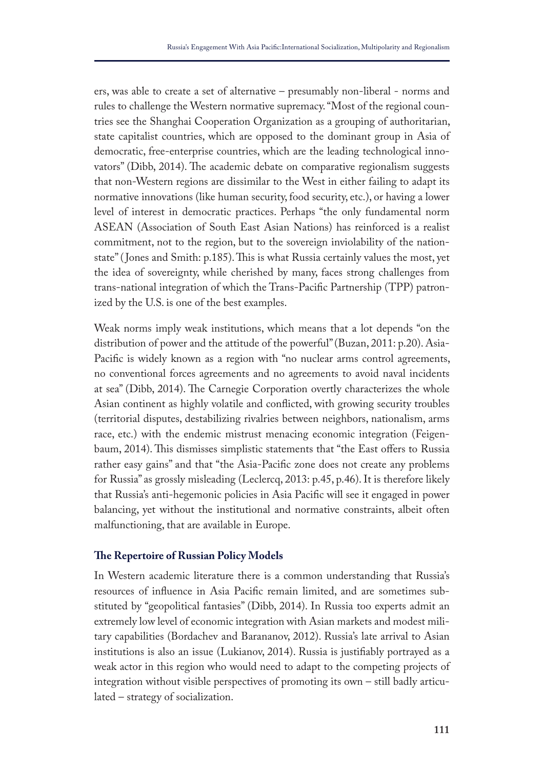ers, was able to create a set of alternative – presumably non-liberal - norms and rules to challenge the Western normative supremacy. "Most of the regional countries see the Shanghai Cooperation Organization as a grouping of authoritarian, state capitalist countries, which are opposed to the dominant group in Asia of democratic, free-enterprise countries, which are the leading technological innovators" (Dibb, 2014). The academic debate on comparative regionalism suggests that non-Western regions are dissimilar to the West in either failing to adapt its normative innovations (like human security, food security, etc.), or having a lower level of interest in democratic practices. Perhaps "the only fundamental norm ASEAN (Association of South East Asian Nations) has reinforced is a realist commitment, not to the region, but to the sovereign inviolability of the nationstate" ( Jones and Smith: p.185). Tis is what Russia certainly values the most, yet the idea of sovereignty, while cherished by many, faces strong challenges from trans-national integration of which the Trans-Pacifc Partnership (TPP) patronized by the U.S. is one of the best examples.

Weak norms imply weak institutions, which means that a lot depends "on the distribution of power and the attitude of the powerful" (Buzan, 2011: p.20). Asia-Pacifc is widely known as a region with "no nuclear arms control agreements, no conventional forces agreements and no agreements to avoid naval incidents at sea" (Dibb, 2014). The Carnegie Corporation overtly characterizes the whole Asian continent as highly volatile and conficted, with growing security troubles (territorial disputes, destabilizing rivalries between neighbors, nationalism, arms race, etc.) with the endemic mistrust menacing economic integration (Feigenbaum, 2014). This dismisses simplistic statements that "the East offers to Russia rather easy gains" and that "the Asia-Pacifc zone does not create any problems for Russia" as grossly misleading (Leclercq, 2013: p.45, p.46). It is therefore likely that Russia's anti-hegemonic policies in Asia Pacifc will see it engaged in power balancing, yet without the institutional and normative constraints, albeit often malfunctioning, that are available in Europe.

#### **Te Repertoire of Russian Policy Models**

In Western academic literature there is a common understanding that Russia's resources of infuence in Asia Pacifc remain limited, and are sometimes substituted by "geopolitical fantasies" (Dibb, 2014). In Russia too experts admit an extremely low level of economic integration with Asian markets and modest military capabilities (Bordachev and Barananov, 2012). Russia's late arrival to Asian institutions is also an issue (Lukianov, 2014). Russia is justifably portrayed as a weak actor in this region who would need to adapt to the competing projects of integration without visible perspectives of promoting its own – still badly articulated – strategy of socialization.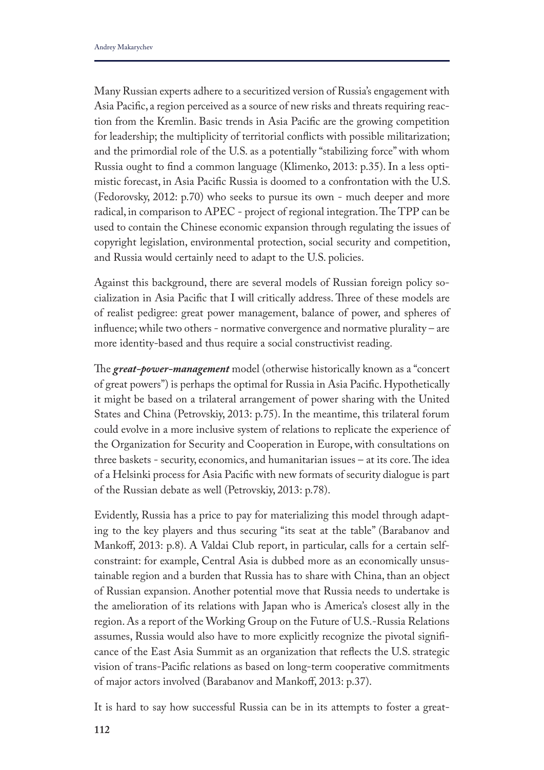Many Russian experts adhere to a securitized version of Russia's engagement with Asia Pacifc, a region perceived as a source of new risks and threats requiring reaction from the Kremlin. Basic trends in Asia Pacifc are the growing competition for leadership; the multiplicity of territorial conficts with possible militarization; and the primordial role of the U.S. as a potentially "stabilizing force" with whom Russia ought to fnd a common language (Klimenko, 2013: p.35). In a less optimistic forecast, in Asia Pacifc Russia is doomed to a confrontation with the U.S. (Fedorovsky, 2012: p.70) who seeks to pursue its own - much deeper and more radical, in comparison to APEC - project of regional integration. The TPP can be used to contain the Chinese economic expansion through regulating the issues of copyright legislation, environmental protection, social security and competition, and Russia would certainly need to adapt to the U.S. policies.

Against this background, there are several models of Russian foreign policy socialization in Asia Pacific that I will critically address. Three of these models are of realist pedigree: great power management, balance of power, and spheres of infuence; while two others - normative convergence and normative plurality – are more identity-based and thus require a social constructivist reading.

The *great-power-management* model (otherwise historically known as a "concert of great powers") is perhaps the optimal for Russia in Asia Pacifc. Hypothetically it might be based on a trilateral arrangement of power sharing with the United States and China (Petrovskiy, 2013: p.75). In the meantime, this trilateral forum could evolve in a more inclusive system of relations to replicate the experience of the Organization for Security and Cooperation in Europe, with consultations on three baskets - security, economics, and humanitarian issues  $-$  at its core. The idea of a Helsinki process for Asia Pacifc with new formats of security dialogue is part of the Russian debate as well (Petrovskiy, 2013: p.78).

Evidently, Russia has a price to pay for materializing this model through adapting to the key players and thus securing "its seat at the table" (Barabanov and Mankoff, 2013: p.8). A Valdai Club report, in particular, calls for a certain selfconstraint: for example, Central Asia is dubbed more as an economically unsustainable region and a burden that Russia has to share with China, than an object of Russian expansion. Another potential move that Russia needs to undertake is the amelioration of its relations with Japan who is America's closest ally in the region. As a report of the Working Group on the Future of U.S.-Russia Relations assumes, Russia would also have to more explicitly recognize the pivotal signifcance of the East Asia Summit as an organization that refects the U.S. strategic vision of trans-Pacifc relations as based on long-term cooperative commitments of major actors involved (Barabanov and Mankof, 2013: p.37).

It is hard to say how successful Russia can be in its attempts to foster a great-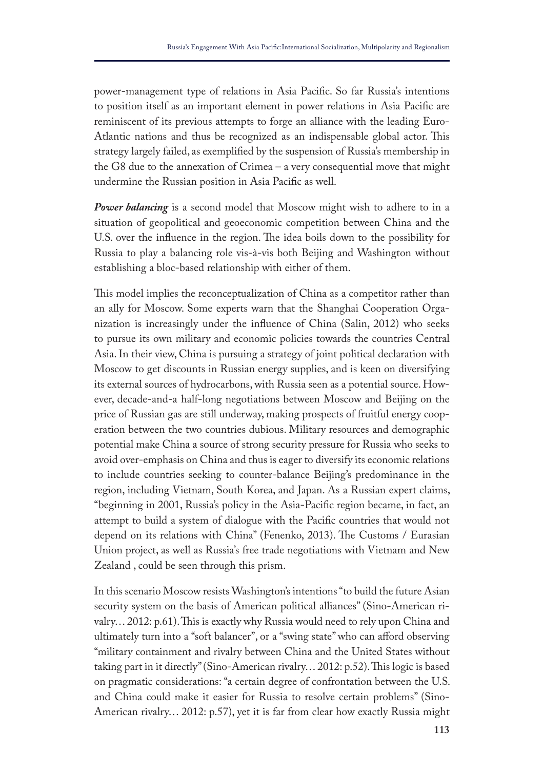power-management type of relations in Asia Pacifc. So far Russia's intentions to position itself as an important element in power relations in Asia Pacifc are reminiscent of its previous attempts to forge an alliance with the leading Euro-Atlantic nations and thus be recognized as an indispensable global actor. Tis strategy largely failed, as exemplifed by the suspension of Russia's membership in the G8 due to the annexation of Crimea – a very consequential move that might undermine the Russian position in Asia Pacifc as well.

*Power balancing* is a second model that Moscow might wish to adhere to in a situation of geopolitical and geoeconomic competition between China and the U.S. over the influence in the region. The idea boils down to the possibility for Russia to play a balancing role vis-à-vis both Beijing and Washington without establishing a bloc-based relationship with either of them.

This model implies the reconceptualization of China as a competitor rather than an ally for Moscow. Some experts warn that the Shanghai Cooperation Organization is increasingly under the infuence of China (Salin, 2012) who seeks to pursue its own military and economic policies towards the countries Central Asia. In their view, China is pursuing a strategy of joint political declaration with Moscow to get discounts in Russian energy supplies, and is keen on diversifying its external sources of hydrocarbons, with Russia seen as a potential source. However, decade-and-a half-long negotiations between Moscow and Beijing on the price of Russian gas are still underway, making prospects of fruitful energy cooperation between the two countries dubious. Military resources and demographic potential make China a source of strong security pressure for Russia who seeks to avoid over-emphasis on China and thus is eager to diversify its economic relations to include countries seeking to counter-balance Beijing's predominance in the region, including Vietnam, South Korea, and Japan. As a Russian expert claims, "beginning in 2001, Russia's policy in the Asia-Pacifc region became, in fact, an attempt to build a system of dialogue with the Pacifc countries that would not depend on its relations with China" (Fenenko, 2013). The Customs / Eurasian Union project, as well as Russia's free trade negotiations with Vietnam and New Zealand , could be seen through this prism.

In this scenario Moscow resists Washington's intentions "to build the future Asian security system on the basis of American political alliances" (Sino-American rivalry... 2012: p.61). This is exactly why Russia would need to rely upon China and ultimately turn into a "soft balancer", or a "swing state" who can afford observing "military containment and rivalry between China and the United States without taking part in it directly" (Sino-American rivalry... 2012: p.52). This logic is based on pragmatic considerations: "a certain degree of confrontation between the U.S. and China could make it easier for Russia to resolve certain problems" (Sino-American rivalry… 2012: p.57), yet it is far from clear how exactly Russia might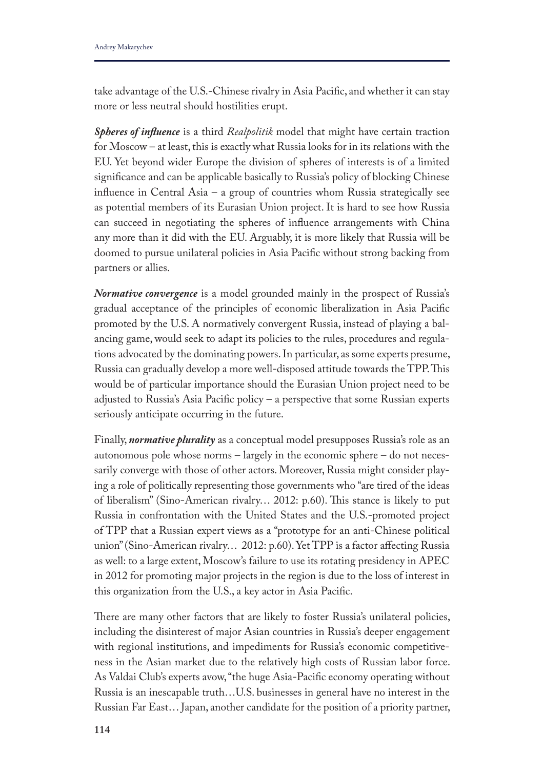take advantage of the U.S.-Chinese rivalry in Asia Pacifc, and whether it can stay more or less neutral should hostilities erupt.

*Spheres of infuence* is a third *Realpolitik* model that might have certain traction for Moscow – at least, this is exactly what Russia looks for in its relations with the EU. Yet beyond wider Europe the division of spheres of interests is of a limited signifcance and can be applicable basically to Russia's policy of blocking Chinese infuence in Central Asia – a group of countries whom Russia strategically see as potential members of its Eurasian Union project. It is hard to see how Russia can succeed in negotiating the spheres of infuence arrangements with China any more than it did with the EU. Arguably, it is more likely that Russia will be doomed to pursue unilateral policies in Asia Pacifc without strong backing from partners or allies.

*Normative convergence* is a model grounded mainly in the prospect of Russia's gradual acceptance of the principles of economic liberalization in Asia Pacifc promoted by the U.S. A normatively convergent Russia, instead of playing a balancing game, would seek to adapt its policies to the rules, procedures and regulations advocated by the dominating powers. In particular, as some experts presume, Russia can gradually develop a more well-disposed attitude towards the TPP. This would be of particular importance should the Eurasian Union project need to be adjusted to Russia's Asia Pacifc policy – a perspective that some Russian experts seriously anticipate occurring in the future.

Finally, *normative plurality* as a conceptual model presupposes Russia's role as an autonomous pole whose norms – largely in the economic sphere – do not necessarily converge with those of other actors. Moreover, Russia might consider playing a role of politically representing those governments who "are tired of the ideas of liberalism" (Sino-American rivalry... 2012: p.60). This stance is likely to put Russia in confrontation with the United States and the U.S.-promoted project of TPP that a Russian expert views as a "prototype for an anti-Chinese political union" (Sino-American rivalry... 2012: p.60). Yet TPP is a factor affecting Russia as well: to a large extent, Moscow's failure to use its rotating presidency in APEC in 2012 for promoting major projects in the region is due to the loss of interest in this organization from the U.S., a key actor in Asia Pacifc.

There are many other factors that are likely to foster Russia's unilateral policies, including the disinterest of major Asian countries in Russia's deeper engagement with regional institutions, and impediments for Russia's economic competitiveness in the Asian market due to the relatively high costs of Russian labor force. As Valdai Club's experts avow, "the huge Asia-Pacifc economy operating without Russia is an inescapable truth…U.S. businesses in general have no interest in the Russian Far East… Japan, another candidate for the position of a priority partner,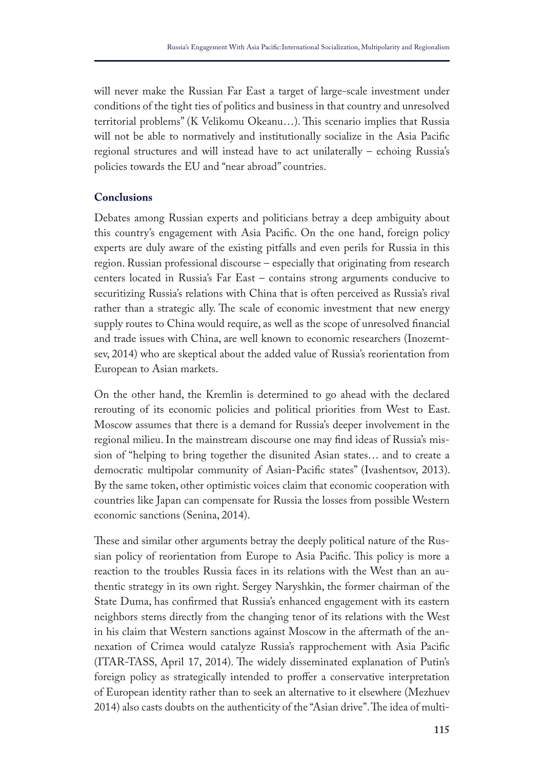will never make the Russian Far East a target of large-scale investment under conditions of the tight ties of politics and business in that country and unresolved territorial problems" (K Velikomu Okeanu...). This scenario implies that Russia will not be able to normatively and institutionally socialize in the Asia Pacifc regional structures and will instead have to act unilaterally – echoing Russia's policies towards the EU and "near abroad" countries.

# **Conclusions**

Debates among Russian experts and politicians betray a deep ambiguity about this country's engagement with Asia Pacifc. On the one hand, foreign policy experts are duly aware of the existing pitfalls and even perils for Russia in this region. Russian professional discourse – especially that originating from research centers located in Russia's Far East – contains strong arguments conducive to securitizing Russia's relations with China that is often perceived as Russia's rival rather than a strategic ally. The scale of economic investment that new energy supply routes to China would require, as well as the scope of unresolved fnancial and trade issues with China, are well known to economic researchers (Inozemtsev, 2014) who are skeptical about the added value of Russia's reorientation from European to Asian markets.

On the other hand, the Kremlin is determined to go ahead with the declared rerouting of its economic policies and political priorities from West to East. Moscow assumes that there is a demand for Russia's deeper involvement in the regional milieu. In the mainstream discourse one may fnd ideas of Russia's mission of "helping to bring together the disunited Asian states… and to create a democratic multipolar community of Asian-Pacifc states" (Ivashentsov, 2013). By the same token, other optimistic voices claim that economic cooperation with countries like Japan can compensate for Russia the losses from possible Western economic sanctions (Senina, 2014).

These and similar other arguments betray the deeply political nature of the Russian policy of reorientation from Europe to Asia Pacifc. Tis policy is more a reaction to the troubles Russia faces in its relations with the West than an authentic strategy in its own right. Sergey Naryshkin, the former chairman of the State Duma, has confrmed that Russia's enhanced engagement with its eastern neighbors stems directly from the changing tenor of its relations with the West in his claim that Western sanctions against Moscow in the aftermath of the annexation of Crimea would catalyze Russia's rapprochement with Asia Pacifc (ITAR-TASS, April 17, 2014). Te widely disseminated explanation of Putin's foreign policy as strategically intended to proffer a conservative interpretation of European identity rather than to seek an alternative to it elsewhere (Mezhuev 2014) also casts doubts on the authenticity of the "Asian drive". The idea of multi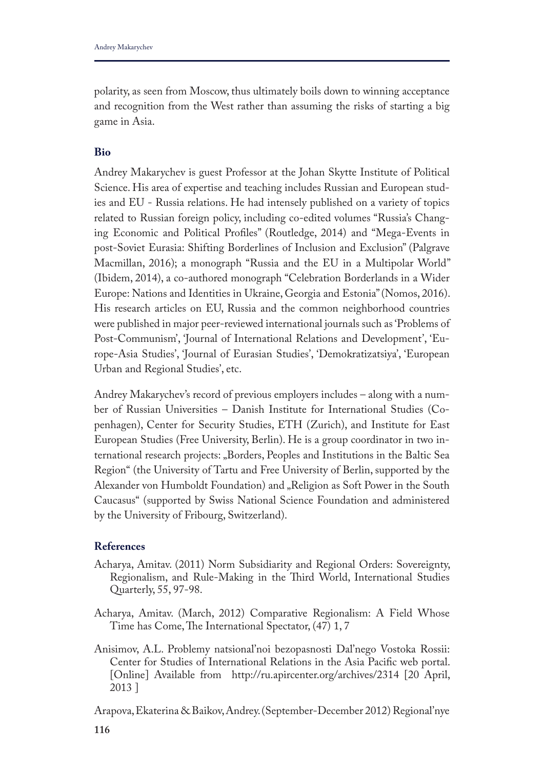polarity, as seen from Moscow, thus ultimately boils down to winning acceptance and recognition from the West rather than assuming the risks of starting a big game in Asia.

# **Bio**

Andrey Makarychev is guest Professor at the Johan Skytte Institute of Political Science. His area of expertise and teaching includes Russian and European studies and EU - Russia relations. He had intensely published on a variety of topics related to Russian foreign policy, including co-edited volumes "Russia's Changing Economic and Political Profles" (Routledge, 2014) and "Mega-Events in post-Soviet Eurasia: Shifting Borderlines of Inclusion and Exclusion" (Palgrave Macmillan, 2016); a monograph "Russia and the EU in a Multipolar World" (Ibidem, 2014), a co-authored monograph "Celebration Borderlands in a Wider Europe: Nations and Identities in Ukraine, Georgia and Estonia" (Nomos, 2016). His research articles on EU, Russia and the common neighborhood countries were published in major peer-reviewed international journals such as 'Problems of Post-Communism', 'Journal of International Relations and Development', 'Europe-Asia Studies', 'Journal of Eurasian Studies', 'Demokratizatsiya', 'European Urban and Regional Studies', etc.

Andrey Makarychev's record of previous employers includes – along with a number of Russian Universities – Danish Institute for International Studies (Copenhagen), Center for Security Studies, ETH (Zurich), and Institute for East European Studies (Free University, Berlin). He is a group coordinator in two international research projects: "Borders, Peoples and Institutions in the Baltic Sea Region" (the University of Tartu and Free University of Berlin, supported by the Alexander von Humboldt Foundation) and "Religion as Soft Power in the South Caucasus" (supported by Swiss National Science Foundation and administered by the University of Fribourg, Switzerland).

# **References**

- Acharya, Amitav. (2011) Norm Subsidiarity and Regional Orders: Sovereignty, Regionalism, and Rule-Making in the Third World, International Studies Quarterly, 55, 97-98.
- Acharya, Amitav. (March, 2012) Comparative Regionalism: A Field Whose Time has Come, The International Spectator, (47) 1, 7
- Anisimov, A.L. Problemy natsional'noi bezopasnosti Dal'nego Vostoka Rossii: Center for Studies of International Relations in the Asia Pacifc web portal. [Online] Available from http://ru.apircenter.org/archives/2314 [20 April, 2013 ]

Arapova, Ekaterina & Baikov, Andrey. (September-December 2012) Regional'nye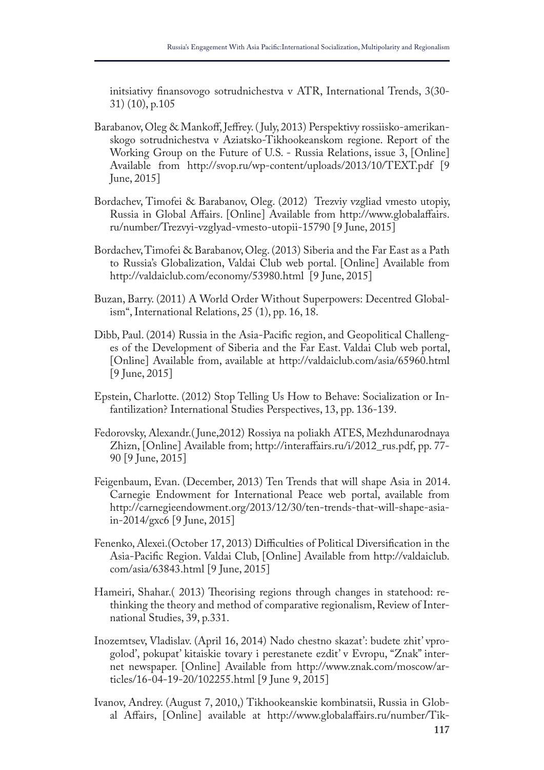initsiativy fnansovogo sotrudnichestva v ATR, International Trends, 3(30- 31) (10), p.105

- Barabanov, Oleg & Mankof, Jefrey. ( July, 2013) Perspektivy rossiisko-amerikanskogo sotrudnichestva v Aziatsko-Tikhookeanskom regione. Report of the Working Group on the Future of U.S. - Russia Relations, issue 3, [Online] Available from http://svop.ru/wp-content/uploads/2013/10/TEXT.pdf [9 June, 2015]
- Bordachev, Timofei & Barabanov, Oleg. (2012) Trezviy vzgliad vmesto utopiy, Russia in Global Afairs. [Online] Available from http://www.globalafairs. ru/number/Trezvyi-vzglyad-vmesto-utopii-15790 [9 June, 2015]
- Bordachev, Timofei & Barabanov, Oleg. (2013) Siberia and the Far East as a Path to Russia's Globalization, Valdai Club web portal. [Online] Available from http://valdaiclub.com/economy/53980.html [9 June, 2015]
- Buzan, Barry. (2011) A World Order Without Superpowers: Decentred Globalism", International Relations, 25 (1), pp. 16, 18.
- Dibb, Paul. (2014) Russia in the Asia-Pacifc region, and Geopolitical Challenges of the Development of Siberia and the Far East. Valdai Club web portal, [Online] Available from, available at http://valdaiclub.com/asia/65960.html [9 June, 2015]
- Epstein, Charlotte. (2012) Stop Telling Us How to Behave: Socialization or Infantilization? International Studies Perspectives, 13, pp. 136-139.
- Fedorovsky, Alexandr.( June,2012) Rossiya na poliakh ATES, Mezhdunarodnaya Zhizn, [Online] Available from; http://interafairs.ru/i/2012\_rus.pdf, pp. 77- 90 [9 June, 2015]
- Feigenbaum, Evan. (December, 2013) Ten Trends that will shape Asia in 2014. Carnegie Endowment for International Peace web portal, available from http://carnegieendowment.org/2013/12/30/ten-trends-that-will-shape-asiain-2014/gxc6 [9 June, 2015]
- Fenenko, Alexei. (October 17, 2013) Difficulties of Political Diversification in the Asia-Pacifc Region. Valdai Club, [Online] Available from http://valdaiclub. com/asia/63843.html [9 June, 2015]
- Hameiri, Shahar. (2013) Theorising regions through changes in statehood: rethinking the theory and method of comparative regionalism, Review of International Studies, 39, p.331.
- Inozemtsev, Vladislav. (April 16, 2014) Nado chestno skazat': budete zhit' vprogolod', pokupat' kitaiskie tovary i perestanete ezdit' v Evropu, "Znak" internet newspaper. [Online] Available from http://www.znak.com/moscow/articles/16-04-19-20/102255.html [9 June 9, 2015]
- Ivanov, Andrey. (August 7, 2010,) Tikhookeanskie kombinatsii, Russia in Global Afairs, [Online] available at http://www.globalafairs.ru/number/Tik-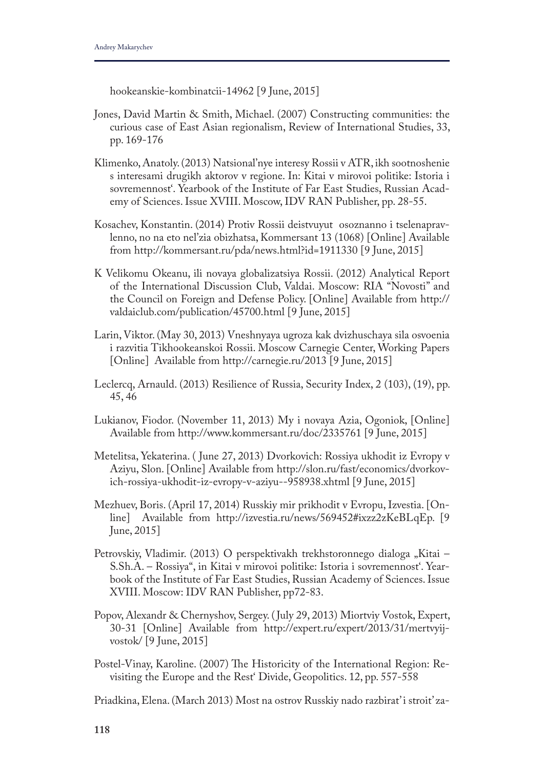hookeanskie-kombinatcii-14962 [9 June, 2015]

- Jones, David Martin & Smith, Michael. (2007) Constructing communities: the curious case of East Asian regionalism, Review of International Studies, 33, pp. 169-176
- Klimenko, Anatoly. (2013) Natsional'nye interesy Rossii v ATR, ikh sootnoshenie s interesami drugikh aktorov v regione. In: Kitai v mirovoi politike: Istoria i sovremennost'. Yearbook of the Institute of Far East Studies, Russian Academy of Sciences. Issue XVIII. Moscow, IDV RAN Publisher, pp. 28-55.
- Kosachev, Konstantin. (2014) Protiv Rossii deistvuyut osoznanno i tselenapravlenno, no na eto nel'zia obizhatsa, Kommersant 13 (1068) [Online] Available from http://kommersant.ru/pda/news.html?id=1911330 [9 June, 2015]
- K Velikomu Okeanu, ili novaya globalizatsiya Rossii. (2012) Analytical Report of the International Discussion Club, Valdai. Moscow: RIA "Novosti" and the Council on Foreign and Defense Policy. [Online] Available from http:// valdaiclub.com/publication/45700.html [9 June, 2015]
- Larin, Viktor. (May 30, 2013) Vneshnyaya ugroza kak dvizhuschaya sila osvoenia i razvitia Tikhookeanskoi Rossii. Moscow Carnegie Center, Working Papers [Online] Available from http://carnegie.ru/2013 [9 June, 2015]
- Leclercq, Arnauld. (2013) Resilience of Russia, Security Index, 2 (103), (19), pp. 45, 46
- Lukianov, Fiodor. (November 11, 2013) My i novaya Azia, Ogoniok, [Online] Available from http://www.kommersant.ru/doc/2335761 [9 June, 2015]
- Metelitsa, Yekaterina. ( June 27, 2013) Dvorkovich: Rossiya ukhodit iz Evropy v Aziyu, Slon. [Online] Available from http://slon.ru/fast/economics/dvorkovich-rossiya-ukhodit-iz-evropy-v-aziyu--958938.xhtml [9 June, 2015]
- Mezhuev, Boris. (April 17, 2014) Russkiy mir prikhodit v Evropu, Izvestia. [Online] Available from http://izvestia.ru/news/569452#ixzz2zKeBLqEp. [9 June, 2015]
- Petrovskiy, Vladimir. (2013) O perspektivakh trekhstoronnego dialoga "Kitai S.Sh.A. – Rossiya", in Kitai v mirovoi politike: Istoria i sovremennost'. Yearbook of the Institute of Far East Studies, Russian Academy of Sciences. Issue XVIII. Moscow: IDV RAN Publisher, pp72-83.
- Popov, Alexandr & Chernyshov, Sergey. ( July 29, 2013) Miortviy Vostok, Expert, 30-31 [Online] Available from http://expert.ru/expert/2013/31/mertvyijvostok/ [9 June, 2015]
- Postel-Vinay, Karoline. (2007) The Historicity of the International Region: Revisiting the Europe and the Rest' Divide, Geopolitics. 12, pp. 557-558

Priadkina, Elena. (March 2013) Most na ostrov Russkiy nado razbirat' i stroit' za-